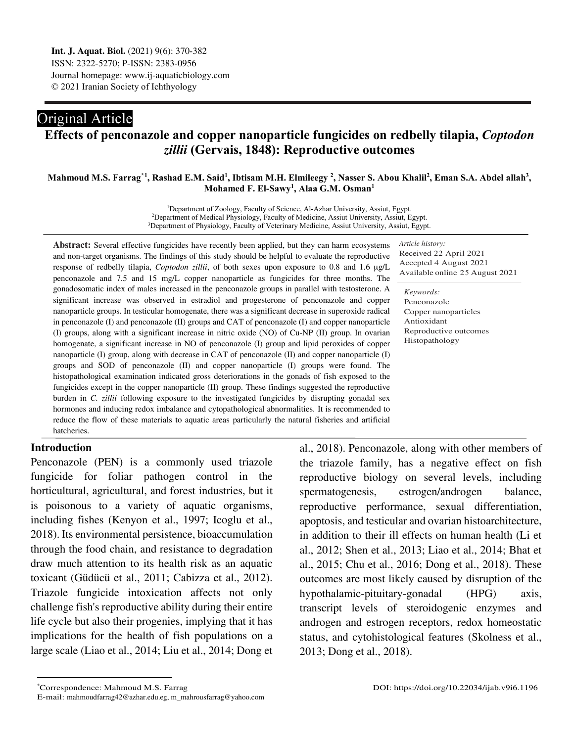# Original Article

## **Effects of penconazole and copper nanoparticle fungicides on redbelly tilapia,** *Coptodon zillii* **(Gervais, 1848): Reproductive outcomes**

#### Mahmoud M.S. Farrag\*<sup>[1](#page-0-0)</sup>, Rashad E.M. Said<sup>1</sup>, Ibtisam M.H. Elmileegy <sup>2</sup>, Nasser S. Abou Khalil<sup>2</sup>, Eman S.A. Abdel allah<sup>3</sup>, **Mohamed F. El-Sawy1 , Alaa G.M. Osman1**

<sup>1</sup>Department of Zoology, Faculty of Science, Al-Azhar University, Assiut, Egypt. 2 Department of Medical Physiology, Faculty of Medicine, Assiut University, Assiut, Egypt. <sup>3</sup>Department of Physiology, Faculty of Veterinary Medicine, Assiut University, Assiut, Egypt.

in penconazole (I) and penconazole (II) groups and CAT of penconazole (I) and copper nanoparticle **Abstract:** Several effective fungicides have recently been applied, but they can harm ecosystems and non-target organisms. The findings of this study should be helpful to evaluate the reproductive response of redbelly tilapia, *Coptodon zillii*, of both sexes upon exposure to 0.8 and 1.6 μg/L penconazole and 7.5 and 15 mg/L copper nanoparticle as fungicides for three months. The gonadosomatic index of males increased in the penconazole groups in parallel with testosterone. A significant increase was observed in estradiol and progesterone of penconazole and copper nanoparticle groups. In testicular homogenate, there was a significant decrease in superoxide radical (I) groups, along with a significant increase in nitric oxide (NO) of Cu-NP (II) group. In ovarian homogenate, a significant increase in NO of penconazole (I) group and lipid peroxides of copper nanoparticle (I) group, along with decrease in CAT of penconazole (II) and copper nanoparticle (I) groups and SOD of penconazole (II) and copper nanoparticle (I) groups were found. The histopathological examination indicated gross deteriorations in the gonads of fish exposed to the fungicides except in the copper nanoparticle (II) group. These findings suggested the reproductive burden in *C. zillii* following exposure to the investigated fungicides by disrupting gonadal sex hormones and inducing redox imbalance and cytopathological abnormalities. It is recommended to reduce the flow of these materials to aquatic areas particularly the natural fisheries and artificial hatcheries.

*Article history:* Received 22 April 2021 Accepted 4 August 2021 Available online 25 August 2021

*Keywords:* Penconazole Copper nanoparticles Antioxidant Reproductive outcomes Histopathology

## **Introduction**

 $\overline{a}$ 

Penconazole (PEN) is a commonly used triazole fungicide for foliar pathogen control in the horticultural, agricultural, and forest industries, but it is poisonous to a variety of aquatic organisms, including fishes (Kenyon et al., 1997; Icoglu et al., 2018). Its environmental persistence, bioaccumulation through the food chain, and resistance to degradation draw much attention to its health risk as an aquatic toxicant (Güdücü et al., 2011; Cabizza et al., 2012). Triazole fungicide intoxication affects not only challenge fish's reproductive ability during their entire life cycle but also their progenies, implying that it has implications for the health of fish populations on a large scale (Liao et al., 2014; Liu et al., 2014; Dong et

al., 2018). Penconazole, along with other members of the triazole family, has a negative effect on fish reproductive biology on several levels, including spermatogenesis, estrogen/androgen balance, reproductive performance, sexual differentiation, apoptosis, and testicular and ovarian histoarchitecture, in addition to their ill effects on human health (Li et al., 2012; Shen et al., 2013; Liao et al., 2014; Bhat et al., 2015; Chu et al., 2016; Dong et al., 2018). These outcomes are most likely caused by disruption of the hypothalamic-pituitary-gonadal (HPG) axis, transcript levels of steroidogenic enzymes and androgen and estrogen receptors, redox homeostatic status, and cytohistological features (Skolness et al., 2013; Dong et al., 2018).

<span id="page-0-0"></span><sup>\*</sup>Correspondence: Mahmoud M.S. Farrag

E-mail: mahmoudfarrag42@azhar.edu.eg, m\_mahrousfarrag@yahoo.com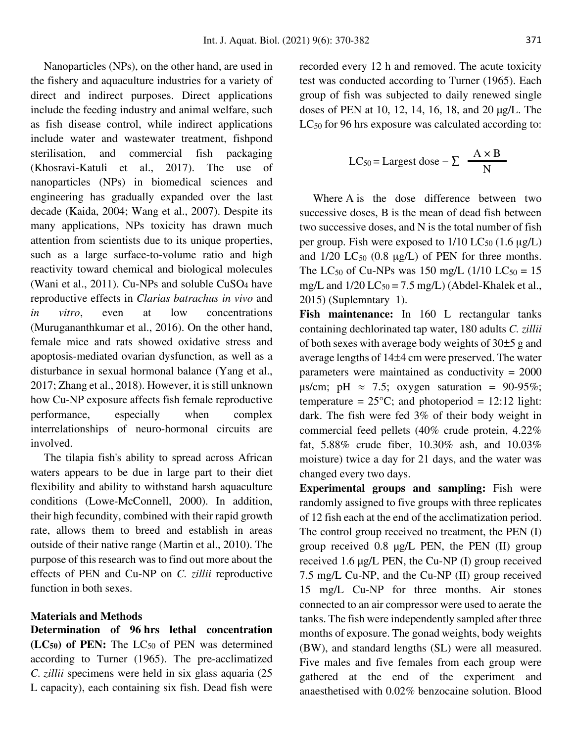Nanoparticles (NPs), on the other hand, are used in the fishery and aquaculture industries for a variety of direct and indirect purposes. Direct applications include the feeding industry and animal welfare, such as fish disease control, while indirect applications include water and wastewater treatment, fishpond sterilisation, and commercial fish packaging (Khosravi-Katuli et al., 2017). The use of nanoparticles (NPs) in biomedical sciences and engineering has gradually expanded over the last decade (Kaida, 2004; Wang et al., 2007). Despite its many applications, NPs toxicity has drawn much attention from scientists due to its unique properties, such as a large surface-to-volume ratio and high reactivity toward chemical and biological molecules (Wani et al., 2011). Cu-NPs and soluble CuSO<sub>4</sub> have reproductive effects in *Clarias batrachus in vivo* and *in vitro*, even at low concentrations (Murugananthkumar et al., 2016). On the other hand, female mice and rats showed oxidative stress and apoptosis-mediated ovarian dysfunction, as well as a disturbance in sexual hormonal balance (Yang et al., 2017; Zhang et al., 2018). However, it is still unknown how Cu-NP exposure affects fish female reproductive performance, especially when complex interrelationships of neuro-hormonal circuits are involved.

The tilapia fish's ability to spread across African waters appears to be due in large part to their diet flexibility and ability to withstand harsh aquaculture conditions (Lowe-McConnell, 2000). In addition, their high fecundity, combined with their rapid growth rate, allows them to breed and establish in areas outside of their native range (Martin et al., 2010). The purpose of this research was to find out more about the effects of PEN and Cu-NP on *C. zillii* reproductive function in both sexes.

#### **Materials and Methods**

**Determination of 96 hrs lethal concentration (LC50) of PEN:** The LC<sup>50</sup> of PEN was determined according to Turner (1965). The pre-acclimatized *C. zillii* specimens were held in six glass aquaria (25 L capacity), each containing six fish. Dead fish were recorded every 12 h and removed. The acute toxicity test was conducted according to Turner (1965). Each group of fish was subjected to daily renewed single doses of PEN at 10, 12, 14, 16, 18, and 20 µg/L. The  $LC_{50}$  for 96 hrs exposure was calculated according to:

$$
LC_{50} = \text{Largest dose} - \sum \frac{A \times B}{N}
$$

Where A is the dose difference between two successive doses, B is the mean of dead fish between two successive doses, and N is the total number of fish per group. Fish were exposed to  $1/10$  LC<sub>50</sub>  $(1.6 \mu g/L)$ and  $1/20$  LC<sub>50</sub> (0.8  $\mu$ g/L) of PEN for three months. The LC<sub>50</sub> of Cu-NPs was 150 mg/L (1/10 LC<sub>50</sub> = 15) mg/L and  $1/20$  LC<sub>50</sub> = 7.5 mg/L) (Abdel-Khalek et al., 2015) (Suplemntary 1).

Fish maintenance: In 160 L rectangular tanks containing dechlorinated tap water, 180 adults *C. zillii* of both sexes with average body weights of 30±5 g and average lengths of 14±4 cm were preserved. The water parameters were maintained as conductivity  $= 2000$  $\mu$ s/cm; pH  $\approx$  7.5; oxygen saturation = 90-95%; temperature =  $25^{\circ}$ C; and photoperiod = 12:12 light: dark. The fish were fed 3% of their body weight in commercial feed pellets (40% crude protein, 4.22% fat, 5.88% crude fiber, 10.30% ash, and 10.03% moisture) twice a day for 21 days, and the water was changed every two days.

**Experimental groups and sampling:** Fish were randomly assigned to five groups with three replicates of 12 fish each at the end of the acclimatization period. The control group received no treatment, the PEN (I) group received 0.8 µg/L PEN, the PEN (II) group received 1.6 µg/L PEN, the Cu-NP (I) group received 7.5 mg/L Cu-NP, and the Cu-NP (II) group received 15 mg/L Cu-NP for three months. Air stones connected to an air compressor were used to aerate the tanks. The fish were independently sampled after three months of exposure. The gonad weights, body weights (BW), and standard lengths (SL) were all measured. Five males and five females from each group were gathered at the end of the experiment and anaesthetised with 0.02% benzocaine solution. Blood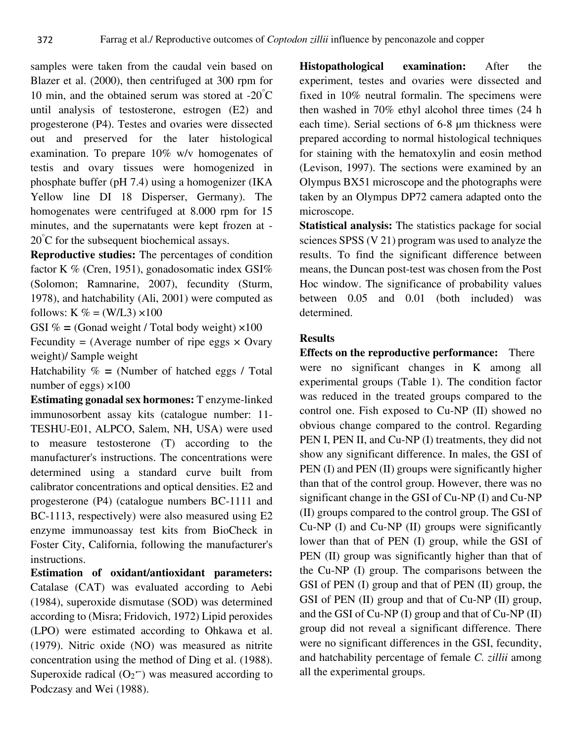samples were taken from the caudal vein based on Blazer et al. (2000), then centrifuged at 300 rpm for 10 min, and the obtained serum was stored at  $-20^{\circ}$ C until analysis of testosterone, estrogen (E2) and progesterone (P4). Testes and ovaries were dissected out and preserved for the later histological examination. To prepare 10% w/v homogenates of testis and ovary tissues were homogenized in phosphate buffer (pH 7.4) using a homogenizer (IKA Yellow line DI 18 Disperser, Germany). The homogenates were centrifuged at 8.000 rpm for 15 minutes, and the supernatants were kept frozen at - 20° C for the subsequent biochemical assays.

**Reproductive studies:** The percentages of condition factor K % (Cren, 1951), gonadosomatic index GSI% (Solomon; Ramnarine, 2007), fecundity (Sturm, 1978), and hatchability (Ali, 2001) were computed as follows: K % = (W/L3)  $\times$ 100

GSI  $% =$  (Gonad weight / Total body weight)  $\times$ 100 Fecundity = (Average number of ripe eggs  $\times$  Ovary weight)/ Sample weight

Hatchability % **=** (Number of hatched eggs / Total number of eggs)  $\times$ 100

**Estimating gonadal sex hormones:** T enzyme-linked immunosorbent assay kits (catalogue number: 11- TESHU-E01, ALPCO, Salem, NH, USA) were used to measure testosterone (T) according to the manufacturer's instructions. The concentrations were determined using a standard curve built from calibrator concentrations and optical densities. E2 and progesterone (P4) (catalogue numbers BC-1111 and BC-1113, respectively) were also measured using E2 enzyme immunoassay test kits from BioCheck in Foster City, California, following the manufacturer's instructions.

**Estimation of oxidant/antioxidant parameters:**  Catalase (CAT) was evaluated according to Aebi (1984), superoxide dismutase (SOD) was determined according to (Misra; Fridovich, 1972) Lipid peroxides (LPO) were estimated according to Ohkawa et al. (1979). Nitric oxide (NO) was measured as nitrite concentration using the method of Ding et al. (1988). Superoxide radical  $(O_2^-)$  was measured according to Podczasy and Wei (1988).

**Histopathological examination:** After the experiment, testes and ovaries were dissected and fixed in 10% neutral formalin. The specimens were then washed in 70% ethyl alcohol three times (24 h each time). Serial sections of 6-8 µm thickness were prepared according to normal histological techniques for staining with the hematoxylin and eosin method (Levison, 1997). The sections were examined by an Olympus BX51 microscope and the photographs were taken by an Olympus DP72 camera adapted onto the microscope.

**Statistical analysis:** The statistics package for social sciences SPSS (V 21) program was used to analyze the results. To find the significant difference between means, the Duncan post-test was chosen from the Post Hoc window. The significance of probability values between 0.05 and 0.01 (both included) was determined.

## **Results**

**Effects on the reproductive performance:** There were no significant changes in K among all experimental groups (Table 1). The condition factor was reduced in the treated groups compared to the control one. Fish exposed to Cu-NP (II) showed no obvious change compared to the control. Regarding PEN I, PEN II, and Cu-NP (I) treatments, they did not show any significant difference. In males, the GSI of PEN (I) and PEN (II) groups were significantly higher than that of the control group. However, there was no significant change in the GSI of Cu-NP (I) and Cu-NP (II) groups compared to the control group. The GSI of Cu-NP (I) and Cu-NP (II) groups were significantly lower than that of PEN (I) group, while the GSI of PEN (II) group was significantly higher than that of the Cu-NP (I) group. The comparisons between the GSI of PEN (I) group and that of PEN (II) group, the GSI of PEN (II) group and that of Cu-NP (II) group, and the GSI of Cu-NP (I) group and that of Cu-NP (II) group did not reveal a significant difference. There were no significant differences in the GSI, fecundity, and hatchability percentage of female *C. zillii* among all the experimental groups.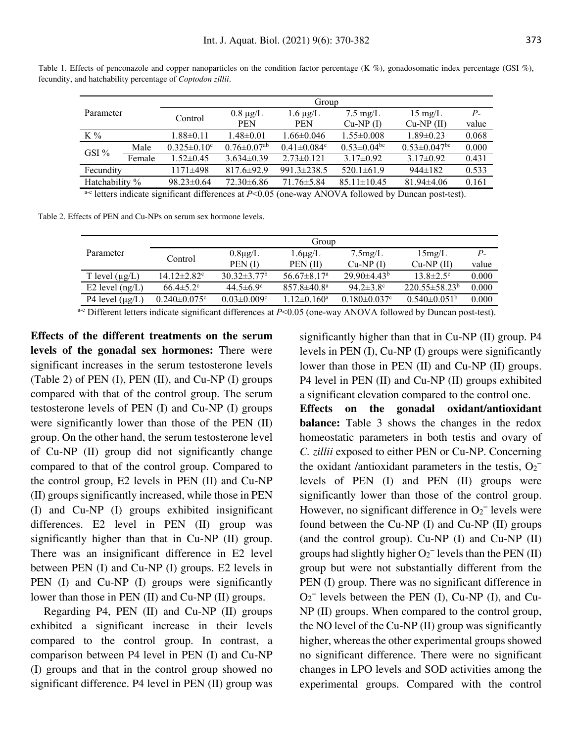| Parameter      |        | Group                         |                               |                               |                               |                     |       |  |
|----------------|--------|-------------------------------|-------------------------------|-------------------------------|-------------------------------|---------------------|-------|--|
|                |        | Control                       | $0.8 \mu g/L$                 | $1.6 \mu g/L$                 | $7.5 \text{ mg/L}$            | $15 \text{ mg/L}$   | $P-$  |  |
|                |        |                               | <b>PEN</b>                    | <b>PEN</b>                    | $Cu-NP(I)$                    | $Cu-NP$ (II)        | value |  |
| $K\%$          |        | $1.88 \pm 0.11$               | $1.48 \pm 0.01$               | $1.66 \pm 0.046$              | $1.55 \pm 0.008$              | $1.89 \pm 0.23$     | 0.068 |  |
| GSI $%$        | Male   | $0.325 \pm 0.10$ <sup>c</sup> | $0.76 \pm 0.07$ <sup>ab</sup> | $0.41 \pm 0.084$ <sup>c</sup> | $0.53 \pm 0.04$ <sup>bc</sup> | $0.53 \pm 0.047$ bc | 0.000 |  |
|                | Female | $1.52 \pm 0.45$               | $3.634\pm0.39$                | $2.73\pm0.121$                | $3.17\pm0.92$                 | $3.17\pm0.92$       | 0.431 |  |
| Fecundity      |        | $1171\pm498$                  | $817.6 \pm 92.9$              | $991.3 \pm 238.5$             | $520.1 \pm 61.9$              | $944\pm182$         | 0.533 |  |
| Hatchability % |        | $98.23 \pm 0.64$              | $72.30\pm 6.86$               | $71.76 \pm 5.84$              | $85.11 \pm 10.45$             | $81.94\pm4.06$      | 0.161 |  |

Table 1. Effects of penconazole and copper nanoparticles on the condition factor percentage (K %), gonadosomatic index percentage (GSI %), fecundity, and hatchability percentage of *Coptodon zillii*.

a<sup>-c</sup> letters indicate significant differences at *P*<0.05 (one-way ANOVA followed by Duncan post-test).

Table 2. Effects of PEN and Cu-NPs on serum sex hormone levels.

|                      | Group                          |                               |                                                                  |                     |                             |                      |  |  |
|----------------------|--------------------------------|-------------------------------|------------------------------------------------------------------|---------------------|-----------------------------|----------------------|--|--|
| Parameter            | Control                        | $0.8\mu g/L$                  | $1.6\mu$ g/L                                                     | 7.5mg/L             | 15mg/L                      | $P_{-}$              |  |  |
|                      |                                | PEN(I)                        | PEN(II)                                                          | $Cu-NP(I)$          | $Cu-NP(II)$                 | value                |  |  |
| T level $(\mu g/L)$  | $14.12 \pm 2.82$ <sup>c</sup>  | $30.32 \pm 3.77$ <sup>b</sup> | $56.67 \pm 8.17$ <sup>a</sup>                                    | $29.90\pm4.43^b$    | $13.8 \pm 2.5$ <sup>c</sup> | 0.000                |  |  |
| E2 level $(ng/L)$    | $66.4 \pm 5.2$ °               | $44.5 \pm 6.9$ °              | $857.8 \pm 40.8^{\circ}$                                         | $94.2 \pm 3.8$ °    | $220.55 \pm 58.23^b$        | 0.000                |  |  |
| P4 level $(\mu g/L)$ | $0.240 \pm 0.075$ <sup>c</sup> | $0.03 \pm 0.009$ °            | $1.12 \pm 0.160$ <sup>a</sup>                                    | $0.180 \pm 0.037$ ° | $0.540\pm0.051b$            | 0.000                |  |  |
| $\sim$ $\sim$ $\sim$ |                                | $\cdots$                      | $\mathbf{r}$ $\mathbf{r}$ $\mathbf{r}$ $\mathbf{r}$ $\mathbf{r}$ | 1.370771.011        | $\mathbf{1}$ $\mathbf{1}$   | $\sim$ $\sim$ $\sim$ |  |  |

a<sup>-c</sup> Different letters indicate significant differences at *P*<0.05 (one-way ANOVA followed by Duncan post-test).

**Effects of the different treatments on the serum levels of the gonadal sex hormones:** There were significant increases in the serum testosterone levels (Table 2) of PEN (I), PEN (II), and Cu-NP (I) groups compared with that of the control group. The serum testosterone levels of PEN (I) and Cu-NP (I) groups were significantly lower than those of the PEN (II) group. On the other hand, the serum testosterone level of Cu-NP (II) group did not significantly change compared to that of the control group. Compared to the control group, E2 levels in PEN (II) and Cu-NP (II) groups significantly increased, while those in PEN (I) and Cu-NP (I) groups exhibited insignificant differences. E2 level in PEN (II) group was significantly higher than that in Cu-NP (II) group. There was an insignificant difference in E2 level between PEN (I) and Cu-NP (I) groups. E2 levels in PEN (I) and Cu-NP (I) groups were significantly lower than those in PEN (II) and Cu-NP (II) groups.

Regarding P4, PEN (II) and Cu-NP (II) groups exhibited a significant increase in their levels compared to the control group. In contrast, a comparison between P4 level in PEN (I) and Cu-NP (I) groups and that in the control group showed no significant difference. P4 level in PEN (II) group was

significantly higher than that in Cu-NP (II) group. P4 levels in PEN (I), Cu-NP (I) groups were significantly lower than those in PEN (II) and Cu-NP (II) groups. P4 level in PEN (II) and Cu-NP (II) groups exhibited a significant elevation compared to the control one.

**Effects on the gonadal oxidant/antioxidant balance:** Table 3 shows the changes in the redox homeostatic parameters in both testis and ovary of *C. zillii* exposed to either PEN or Cu-NP. Concerning the oxidant /antioxidant parameters in the testis,  $O_2^$ levels of PEN (I) and PEN (II) groups were significantly lower than those of the control group. However, no significant difference in  $O_2^-$  levels were found between the Cu-NP (I) and Cu-NP (II) groups (and the control group). Cu-NP (I) and Cu-NP (II) groups had slightly higher  $O_2^-$  levels than the PEN (II) group but were not substantially different from the PEN (I) group. There was no significant difference in  $O_2$ <sup>-</sup> levels between the PEN (I), Cu-NP (I), and Cu-NP (II) groups. When compared to the control group, the NO level of the Cu-NP (II) group was significantly higher, whereas the other experimental groups showed no significant difference. There were no significant changes in LPO levels and SOD activities among the experimental groups. Compared with the control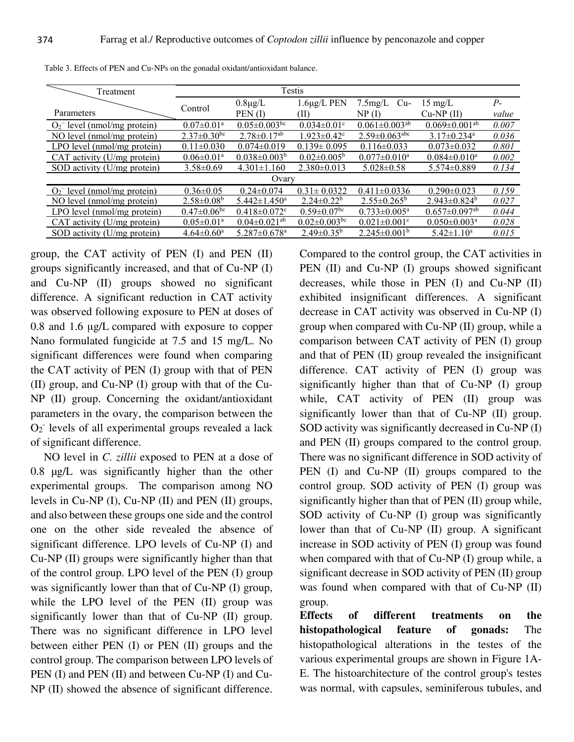| Treatment                                  |                               | Testis                         |                               |                                 |                                 |       |  |  |
|--------------------------------------------|-------------------------------|--------------------------------|-------------------------------|---------------------------------|---------------------------------|-------|--|--|
|                                            | Control                       | $0.8\mu$ g/L                   | $1.6\mu$ g/L PEN              | $7.5$ mg/L<br>Cu-               | $15 \text{ mg/L}$               | $P-$  |  |  |
| Parameters                                 |                               | PEN(I)                         | (II)                          | NP(I)                           | $Cu-NP$ (II)                    | value |  |  |
| $O_2$ <sup>-</sup> level (nmol/mg protein) | $0.07 \pm 0.01^{\text{a}}$    | $0.05 \pm 0.003$ bc            | $0.034 \pm 0.01$ °            | $0.061 \pm 0.003$ <sup>ab</sup> | $0.069 \pm 0.001$ <sup>ab</sup> | 0.007 |  |  |
| NO level (nmol/mg protein)                 | $2.37 \pm 0.30$ <sup>bc</sup> | $2.78 \pm 0.17$ <sup>ab</sup>  | $1.923 \pm 0.42$ <sup>c</sup> | $2.59 \pm 0.063$ <sup>abc</sup> | $3.17 \pm 0.234$ <sup>a</sup>   | 0.036 |  |  |
| LPO level (nmol/mg protein)                | $0.11 \pm 0.030$              | $0.074 \pm 0.019$              | $0.139 \pm 0.095$             | $0.116 \pm 0.033$               | $0.073 \pm 0.032$               | 0.801 |  |  |
| CAT activity $(U/mg$ protein)              | $0.06 \pm 0.01^{\text{a}}$    | $0.038 \pm 0.003^b$            | $0.02 \pm 0.005^{\circ}$      | $0.077 \pm 0.010^a$             | $0.084 \pm 0.010^a$             | 0.002 |  |  |
| SOD activity (U/mg protein)                | $3.58 \pm 0.69$               | $4.301 \pm 1.160$              | $2.380\pm0.013$               | $5.028 \pm 0.58$                | $5.574 \pm 0.889$               | 0.134 |  |  |
| Ovary                                      |                               |                                |                               |                                 |                                 |       |  |  |
| $O_2$ <sup>-</sup> level (nmol/mg protein) | $0.36 \pm 0.05$               | $0.24 \pm 0.074$               | $0.31 \pm 0.0322$             | $0.411 \pm 0.0336$              | $0.290 \pm 0.023$               | 0.159 |  |  |
| NO level (nmol/mg protein)                 | $2.58 \pm 0.08$ <sup>b</sup>  | $5.442 \pm 1.450$ <sup>a</sup> | $2.24 \pm 0.22^b$             | $2.55 \pm 0.265^{\circ}$        | $2.943 \pm 0.824$ <sup>b</sup>  | 0.027 |  |  |
| LPO level (nmol/mg protein)                | $0.47 \pm 0.06$ bc            | $0.418 \pm 0.072$ <sup>c</sup> | $0.59 \pm 0.07$ <sup>bc</sup> | $0.733 \pm 0.005^{\text{a}}$    | $0.657 \pm 0.097$ <sup>ab</sup> | 0.044 |  |  |
| CAT activity (U/mg protein)                | $0.05 \pm 0.01$ <sup>a</sup>  | $0.04 \pm 0.021$ <sup>ab</sup> | $0.02 \pm 0.003$ bc           | $0.021 \pm 0.001$ <sup>c</sup>  | $0.050 \pm 0.003$ <sup>a</sup>  | 0.028 |  |  |
| SOD activity (U/mg protein)                | $4.64 \pm 0.60^{\circ}$       | $5.287 \pm 0.678$ <sup>a</sup> | $2.49 \pm 0.35^b$             | $2.245 \pm 0.001^b$             | $5.42 \pm 1.10^a$               | 0.015 |  |  |

Table 3. Effects of PEN and Cu-NPs on the gonadal oxidant/antioxidant balance.

group, the CAT activity of PEN (I) and PEN (II) groups significantly increased, and that of Cu-NP (I) and Cu-NP (II) groups showed no significant difference. A significant reduction in CAT activity was observed following exposure to PEN at doses of 0.8 and 1.6 μg/L compared with exposure to copper Nano formulated fungicide at 7.5 and 15 mg/L. No significant differences were found when comparing the CAT activity of PEN (I) group with that of PEN (II) group, and Cu-NP (I) group with that of the Cu-NP (II) group. Concerning the oxidant/antioxidant parameters in the ovary, the comparison between the O<sub>2</sub> levels of all experimental groups revealed a lack of significant difference.

NO level in *C. zillii* exposed to PEN at a dose of 0.8 µg/L was significantly higher than the other experimental groups. The comparison among NO levels in Cu-NP (I), Cu-NP (II) and PEN (II) groups, and also between these groups one side and the control one on the other side revealed the absence of significant difference. LPO levels of Cu-NP (I) and Cu-NP (II) groups were significantly higher than that of the control group. LPO level of the PEN (I) group was significantly lower than that of Cu-NP (I) group, while the LPO level of the PEN (II) group was significantly lower than that of Cu-NP (II) group. There was no significant difference in LPO level between either PEN (I) or PEN (II) groups and the control group. The comparison between LPO levels of PEN (I) and PEN (II) and between Cu-NP (I) and Cu-NP (II) showed the absence of significant difference.

Compared to the control group, the CAT activities in PEN (II) and Cu-NP (I) groups showed significant decreases, while those in PEN (I) and Cu-NP (II) exhibited insignificant differences. A significant decrease in CAT activity was observed in Cu-NP (I) group when compared with Cu-NP (II) group, while a comparison between CAT activity of PEN (I) group and that of PEN (II) group revealed the insignificant difference. CAT activity of PEN (I) group was significantly higher than that of Cu-NP (I) group while, CAT activity of PEN (II) group was significantly lower than that of Cu-NP (II) group. SOD activity was significantly decreased in Cu-NP (I) and PEN (II) groups compared to the control group. There was no significant difference in SOD activity of PEN (I) and Cu-NP (II) groups compared to the control group. SOD activity of PEN (I) group was significantly higher than that of PEN (II) group while, SOD activity of Cu-NP (I) group was significantly lower than that of Cu-NP (II) group. A significant increase in SOD activity of PEN (I) group was found when compared with that of Cu-NP (I) group while, a significant decrease in SOD activity of PEN (II) group was found when compared with that of Cu-NP (II) group.<br>Effects

of different treatments on the **histopathological feature of gonads:** The histopathological alterations in the testes of the various experimental groups are shown in Figure 1A-E. The histoarchitecture of the control group's testes was normal, with capsules, seminiferous tubules, and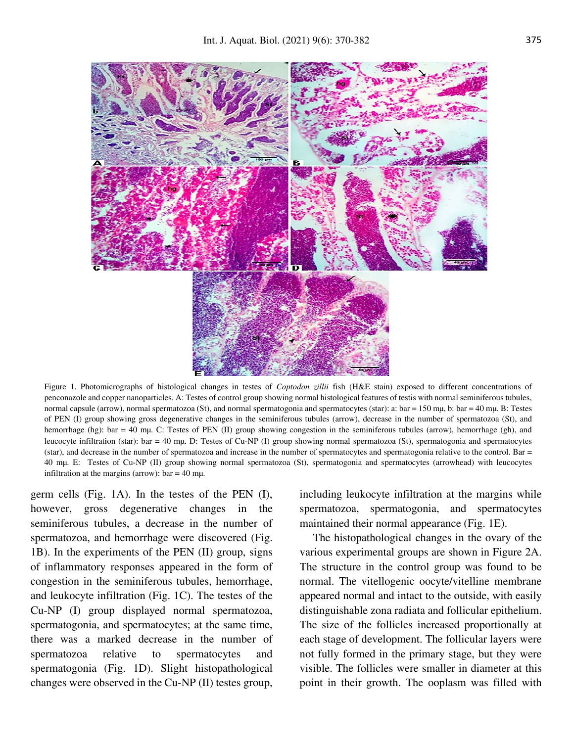

Figure 1. Photomicrographs of histological changes in testes of *Coptodon zillii* fish (H&E stain) exposed to different concentrations of penconazole and copper nanoparticles. A: Testes of control group showing normal histological features of testis with normal seminiferous tubules, normal capsule (arrow), normal spermatozoa (St), and normal spermatogonia and spermatocytes (star): a: bar = 150 mµ, b: bar = 40 mµ. B: Testes of PEN (I) group showing gross degenerative changes in the seminiferous tubules (arrow), decrease in the number of spermatozoa (St), and hemorrhage (hg): bar = 40 mµ. C: Testes of PEN (II) group showing congestion in the seminiferous tubules (arrow), hemorrhage (gh), and leucocyte infiltration (star): bar = 40 mµ. D: Testes of Cu-NP (I) group showing normal spermatozoa (St), spermatogonia and spermatocytes (star), and decrease in the number of spermatozoa and increase in the number of spermatocytes and spermatogonia relative to the control. Bar = 40 mµ. E: Testes of Cu-NP (II) group showing normal spermatozoa (St), spermatogonia and spermatocytes (arrowhead) with leucocytes infiltration at the margins (arrow):  $bar = 40$  mµ.

germ cells (Fig. 1A). In the testes of the PEN (I), however, gross degenerative changes in the seminiferous tubules, a decrease in the number of spermatozoa, and hemorrhage were discovered (Fig. 1B). In the experiments of the PEN (II) group, signs of inflammatory responses appeared in the form of congestion in the seminiferous tubules, hemorrhage, and leukocyte infiltration (Fig. 1C). The testes of the Cu-NP (I) group displayed normal spermatozoa, spermatogonia, and spermatocytes; at the same time, there was a marked decrease in the number of spermatozoa relative to spermatocytes and spermatogonia (Fig. 1D). Slight histopathological changes were observed in the Cu-NP (II) testes group,

including leukocyte infiltration at the margins while spermatozoa, spermatogonia, and spermatocytes maintained their normal appearance (Fig. 1E).

The histopathological changes in the ovary of the various experimental groups are shown in Figure 2A. The structure in the control group was found to be normal. The vitellogenic oocyte/vitelline membrane appeared normal and intact to the outside, with easily distinguishable zona radiata and follicular epithelium. The size of the follicles increased proportionally at each stage of development. The follicular layers were not fully formed in the primary stage, but they were visible. The follicles were smaller in diameter at this point in their growth. The ooplasm was filled with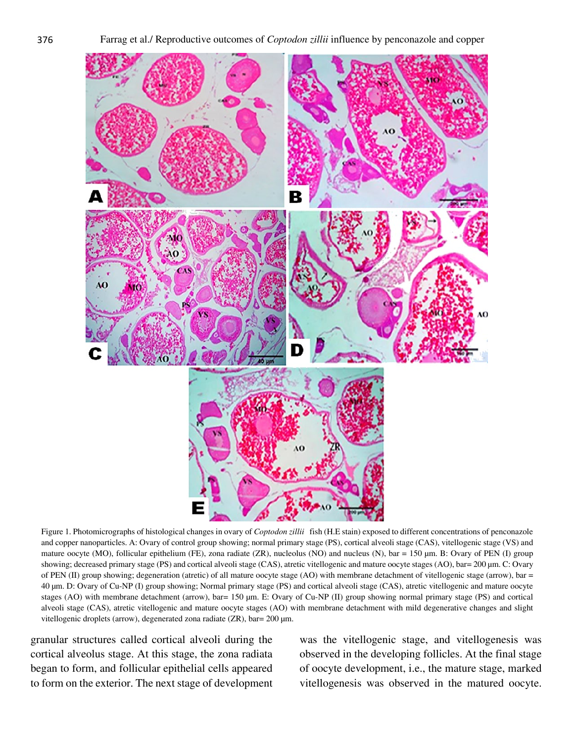

Figure 1. Photomicrographs of histological changes in ovary of *Coptodon zillii* fish (H.E stain) exposed to different concentrations of penconazole and copper nanoparticles. A: Ovary of control group showing; normal primary stage (PS), cortical alveoli stage (CAS), vitellogenic stage (VS) and mature oocyte (MO), follicular epithelium (FE), zona radiate (ZR), nucleolus (NO) and nucleus (N), bar = 150 µm. B: Ovary of PEN (I) group showing; decreased primary stage (PS) and cortical alveoli stage (CAS), atretic vitellogenic and mature oocyte stages (AO), bar= 200 µm. C: Ovary of PEN (II) group showing; degeneration (atretic) of all mature oocyte stage (AO) with membrane detachment of vitellogenic stage (arrow), bar = 40 µm. D: Ovary of Cu-NP (I) group showing; Normal primary stage (PS) and cortical alveoli stage (CAS), atretic vitellogenic and mature oocyte stages (AO) with membrane detachment (arrow), bar= 150 µm. E: Ovary of Cu-NP (II) group showing normal primary stage (PS) and cortical alveoli stage (CAS), atretic vitellogenic and mature oocyte stages (AO) with membrane detachment with mild degenerative changes and slight vitellogenic droplets (arrow), degenerated zona radiate (ZR), bar= 200 µm.

granular structures called cortical alveoli during the cortical alveolus stage. At this stage, the zona radiata began to form, and follicular epithelial cells appeared to form on the exterior. The next stage of development was the vitellogenic stage, and vitellogenesis was observed in the developing follicles. At the final stage of oocyte development, i.e., the mature stage, marked vitellogenesis was observed in the matured oocyte.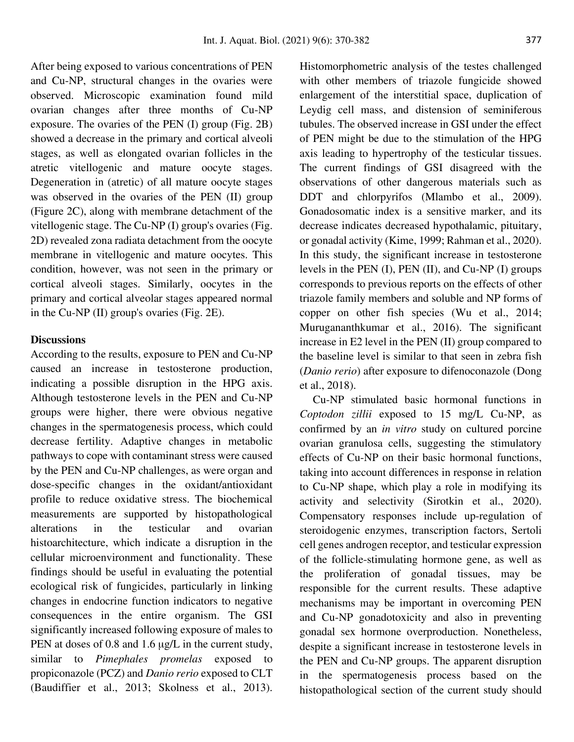After being exposed to various concentrations of PEN and Cu-NP, structural changes in the ovaries were observed. Microscopic examination found mild ovarian changes after three months of Cu-NP exposure. The ovaries of the PEN (I) group (Fig. 2B) showed a decrease in the primary and cortical alveoli stages, as well as elongated ovarian follicles in the atretic vitellogenic and mature oocyte stages. Degeneration in (atretic) of all mature oocyte stages was observed in the ovaries of the PEN (II) group (Figure 2C), along with membrane detachment of the vitellogenic stage. The Cu-NP (I) group's ovaries (Fig. 2D) revealed zona radiata detachment from the oocyte membrane in vitellogenic and mature oocytes. This condition, however, was not seen in the primary or cortical alveoli stages. Similarly, oocytes in the primary and cortical alveolar stages appeared normal in the Cu-NP (II) group's ovaries (Fig. 2E).

## **Discussions**

According to the results, exposure to PEN and Cu-NP caused an increase in testosterone production, indicating a possible disruption in the HPG axis. Although testosterone levels in the PEN and Cu-NP groups were higher, there were obvious negative changes in the spermatogenesis process, which could decrease fertility. Adaptive changes in metabolic pathways to cope with contaminant stress were caused by the PEN and Cu-NP challenges, as were organ and dose-specific changes in the oxidant/antioxidant profile to reduce oxidative stress. The biochemical measurements are supported by histopathological alterations in the testicular and ovarian histoarchitecture, which indicate a disruption in the cellular microenvironment and functionality. These findings should be useful in evaluating the potential ecological risk of fungicides, particularly in linking changes in endocrine function indicators to negative consequences in the entire organism. The GSI significantly increased following exposure of males to PEN at doses of 0.8 and 1.6 μg/L in the current study, similar to *Pimephales promelas* exposed to propiconazole (PCZ) and *Danio rerio* exposed to CLT (Baudiffier et al., 2013; Skolness et al., 2013). Histomorphometric analysis of the testes challenged with other members of triazole fungicide showed enlargement of the interstitial space, duplication of Leydig cell mass, and distension of seminiferous tubules. The observed increase in GSI under the effect of PEN might be due to the stimulation of the HPG axis leading to hypertrophy of the testicular tissues. The current findings of GSI disagreed with the observations of other dangerous materials such as DDT and chlorpyrifos (Mlambo et al., 2009). Gonadosomatic index is a sensitive marker, and its decrease indicates decreased hypothalamic, pituitary, or gonadal activity (Kime, 1999; Rahman et al., 2020). In this study, the significant increase in testosterone levels in the PEN (I), PEN (II), and Cu-NP (I) groups corresponds to previous reports on the effects of other triazole family members and soluble and NP forms of copper on other fish species (Wu et al., 2014; Murugananthkumar et al., 2016). The significant increase in E2 level in the PEN (II) group compared to the baseline level is similar to that seen in zebra fish (*Danio rerio*) after exposure to difenoconazole (Dong et al., 2018).

Cu-NP stimulated basic hormonal functions in *Coptodon zillii* exposed to 15 mg/L Cu-NP, as confirmed by an *in vitro* study on cultured porcine ovarian granulosa cells, suggesting the stimulatory effects of Cu-NP on their basic hormonal functions, taking into account differences in response in relation to Cu-NP shape, which play a role in modifying its activity and selectivity (Sirotkin et al., 2020). Compensatory responses include up-regulation of steroidogenic enzymes, transcription factors, Sertoli cell genes androgen receptor, and testicular expression of the follicle-stimulating hormone gene, as well as the proliferation of gonadal tissues, may be responsible for the current results. These adaptive mechanisms may be important in overcoming PEN and Cu-NP gonadotoxicity and also in preventing gonadal sex hormone overproduction. Nonetheless, despite a significant increase in testosterone levels in the PEN and Cu-NP groups. The apparent disruption in the spermatogenesis process based on the histopathological section of the current study should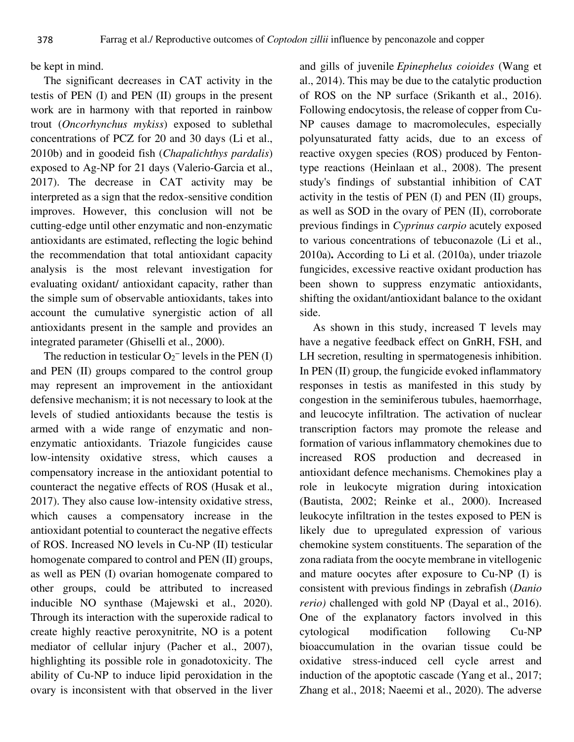be kept in mind.

The significant decreases in CAT activity in the testis of PEN (I) and PEN (II) groups in the present work are in harmony with that reported in rainbow trout (*Oncorhynchus mykiss*) exposed to sublethal concentrations of PCZ for 20 and 30 days (Li et al., 2010b) and in goodeid fish (*Chapalichthys pardalis*) exposed to Ag-NP for 21 days (Valerio-Garcia et al., 2017). The decrease in CAT activity may be interpreted as a sign that the redox-sensitive condition improves. However, this conclusion will not be cutting-edge until other enzymatic and non-enzymatic antioxidants are estimated, reflecting the logic behind the recommendation that total antioxidant capacity analysis is the most relevant investigation for evaluating oxidant/ antioxidant capacity, rather than the simple sum of observable antioxidants, takes into account the cumulative synergistic action of all antioxidants present in the sample and provides an integrated parameter (Ghiselli et al., 2000).

The reduction in testicular  $O_2^-$  levels in the PEN (I) and PEN (II) groups compared to the control group may represent an improvement in the antioxidant defensive mechanism; it is not necessary to look at the levels of studied antioxidants because the testis is armed with a wide range of enzymatic and nonenzymatic antioxidants. Triazole fungicides cause low-intensity oxidative stress, which causes a compensatory increase in the antioxidant potential to counteract the negative effects of ROS (Husak et al., 2017). They also cause low-intensity oxidative stress, which causes a compensatory increase in the antioxidant potential to counteract the negative effects of ROS. Increased NO levels in Cu-NP (II) testicular homogenate compared to control and PEN (II) groups, as well as PEN (I) ovarian homogenate compared to other groups, could be attributed to increased inducible NO synthase (Majewski et al., 2020). Through its interaction with the superoxide radical to create highly reactive peroxynitrite, NO is a potent mediator of cellular injury (Pacher et al., 2007), highlighting its possible role in gonadotoxicity. The ability of Cu-NP to induce lipid peroxidation in the ovary is inconsistent with that observed in the liver

and gills of juvenile *Epinephelus coioides* (Wang et al., 2014). This may be due to the catalytic production of ROS on the NP surface (Srikanth et al., 2016). Following endocytosis, the release of copper from Cu-NP causes damage to macromolecules, especially polyunsaturated fatty acids, due to an excess of reactive oxygen species (ROS) produced by Fentontype reactions (Heinlaan et al., 2008). The present study's findings of substantial inhibition of CAT activity in the testis of PEN (I) and PEN (II) groups, as well as SOD in the ovary of PEN (II), corroborate previous findings in *Cyprinus carpio* acutely exposed to various concentrations of tebuconazole (Li et al., 2010a)**.** According to Li et al. (2010a), under triazole fungicides, excessive reactive oxidant production has been shown to suppress enzymatic antioxidants, shifting the oxidant/antioxidant balance to the oxidant side.

As shown in this study, increased T levels may have a negative feedback effect on GnRH, FSH, and LH secretion, resulting in spermatogenesis inhibition. In PEN (II) group, the fungicide evoked inflammatory responses in testis as manifested in this study by congestion in the seminiferous tubules, haemorrhage, and leucocyte infiltration. The activation of nuclear transcription factors may promote the release and formation of various inflammatory chemokines due to increased ROS production and decreased in antioxidant defence mechanisms. Chemokines play a role in leukocyte migration during intoxication (Bautista, 2002; Reinke et al., 2000). Increased leukocyte infiltration in the testes exposed to PEN is likely due to upregulated expression of various chemokine system constituents. The separation of the zona radiata from the oocyte membrane in vitellogenic and mature oocytes after exposure to Cu-NP (I) is consistent with previous findings in zebrafish (*Danio rerio)* challenged with gold NP (Dayal et al., 2016). One of the explanatory factors involved in this cytological modification following Cu-NP bioaccumulation in the ovarian tissue could be oxidative stress-induced cell cycle arrest and induction of the apoptotic cascade (Yang et al., 2017; Zhang et al., 2018; Naeemi et al., 2020). The adverse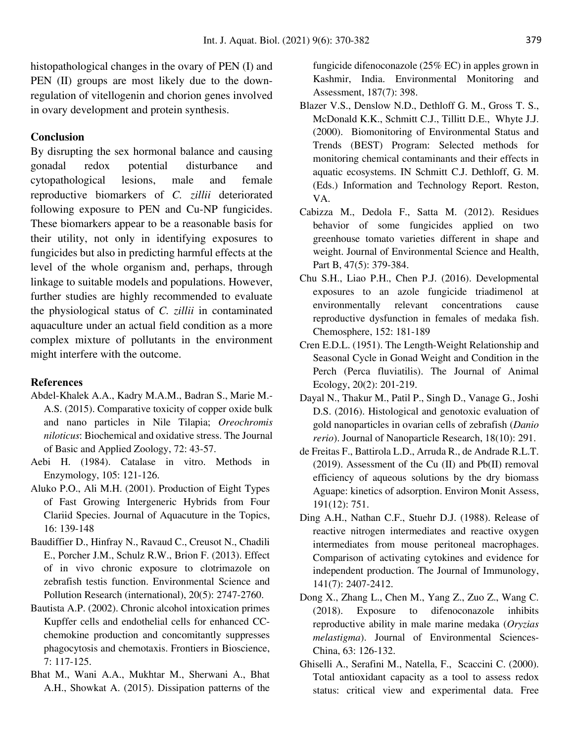histopathological changes in the ovary of PEN (I) and PEN (II) groups are most likely due to the downregulation of vitellogenin and chorion genes involved in ovary development and protein synthesis.

## **Conclusion**

By disrupting the sex hormonal balance and causing gonadal redox potential disturbance and cytopathological lesions, male and female reproductive biomarkers of *C. zillii* deteriorated following exposure to PEN and Cu-NP fungicides. These biomarkers appear to be a reasonable basis for their utility, not only in identifying exposures to fungicides but also in predicting harmful effects at the level of the whole organism and, perhaps, through linkage to suitable models and populations. However, further studies are highly recommended to evaluate the physiological status of *C. zillii* in contaminated aquaculture under an actual field condition as a more complex mixture of pollutants in the environment might interfere with the outcome.

#### **References**

- Abdel-Khalek A.A., Kadry M.A.M., Badran S., Marie M.- A.S. (2015). Comparative toxicity of copper oxide bulk and nano particles in Nile Tilapia; *Oreochromis niloticus*: Biochemical and oxidative stress. The Journal of Basic and Applied Zoology, 72: 43-57.
- Aebi H. (1984). Catalase in vitro. Methods in Enzymology, 105: 121-126.
- Aluko P.O., Ali M.H. (2001). Production of Eight Types of Fast Growing Intergeneric Hybrids from Four Clariid Species. Journal of Aquacuture in the Topics, 16: 139-148
- Baudiffier D., Hinfray N., Ravaud C., Creusot N., Chadili E., Porcher J.M., Schulz R.W., Brion F. (2013). Effect of in vivo chronic exposure to clotrimazole on zebrafish testis function. Environmental Science and Pollution Research (international), 20(5): 2747-2760.
- Bautista A.P. (2002). Chronic alcohol intoxication primes Kupffer cells and endothelial cells for enhanced CCchemokine production and concomitantly suppresses phagocytosis and chemotaxis. Frontiers in Bioscience, 7: 117-125.
- Bhat M., Wani A.A., Mukhtar M., Sherwani A., Bhat A.H., Showkat A. (2015). Dissipation patterns of the

fungicide difenoconazole (25% EC) in apples grown in Kashmir, India. Environmental Monitoring and Assessment, 187(7): 398.

- Blazer V.S., Denslow N.D., Dethloff G. M., Gross T. S., McDonald K.K., Schmitt C.J., Tillitt D.E., Whyte J.J. (2000). Biomonitoring of Environmental Status and Trends (BEST) Program: Selected methods for monitoring chemical contaminants and their effects in aquatic ecosystems. IN Schmitt C.J. Dethloff, G. M. (Eds.) Information and Technology Report. Reston, VA.
- Cabizza M., Dedola F., Satta M. (2012). Residues behavior of some fungicides applied on two greenhouse tomato varieties different in shape and weight. Journal of Environmental Science and Health, Part B, 47(5): 379-384.
- Chu S.H., Liao P.H., Chen P.J. (2016). Developmental exposures to an azole fungicide triadimenol at environmentally relevant concentrations cause reproductive dysfunction in females of medaka fish. Chemosphere, 152: 181-189
- Cren E.D.L. (1951). The Length-Weight Relationship and Seasonal Cycle in Gonad Weight and Condition in the Perch (Perca fluviatilis). The Journal of Animal Ecology, 20(2): 201-219.
- Dayal N., Thakur M., Patil P., Singh D., Vanage G., Joshi D.S. (2016). Histological and genotoxic evaluation of gold nanoparticles in ovarian cells of zebrafish (*Danio rerio*). Journal of Nanoparticle Research, 18(10): 291.
- de Freitas F., Battirola L.D., Arruda R., de Andrade R.L.T. (2019). Assessment of the Cu (II) and Pb(II) removal efficiency of aqueous solutions by the dry biomass Aguape: kinetics of adsorption. Environ Monit Assess, 191(12): 751.
- Ding A.H., Nathan C.F., Stuehr D.J. (1988). Release of reactive nitrogen intermediates and reactive oxygen intermediates from mouse peritoneal macrophages. Comparison of activating cytokines and evidence for independent production. The Journal of Immunology, 141(7): 2407-2412.
- Dong X., Zhang L., Chen M., Yang Z., Zuo Z., Wang C. (2018). Exposure to difenoconazole inhibits reproductive ability in male marine medaka (*Oryzias melastigma*). Journal of Environmental Sciences-China, 63: 126-132.
- Ghiselli A., Serafini M., Natella, F., Scaccini C. (2000). Total antioxidant capacity as a tool to assess redox status: critical view and experimental data. Free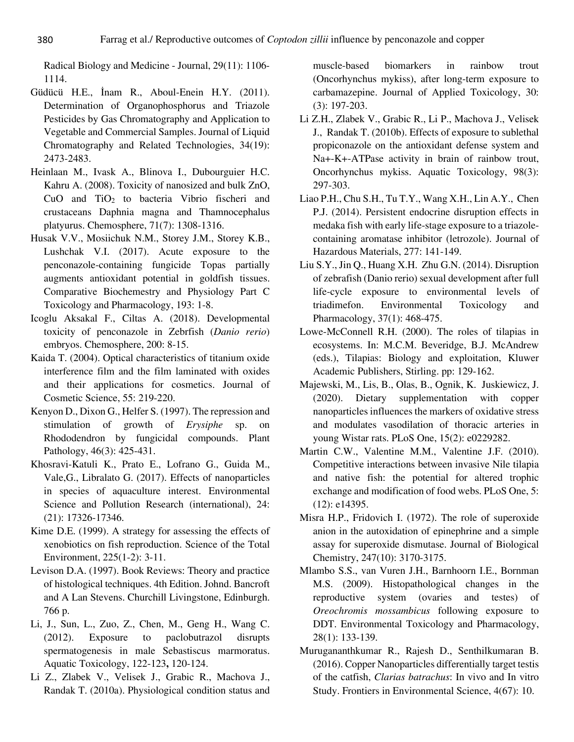Radical Biology and Medicine - Journal, 29(11): 1106- 1114.

- Güdücü H.E., İnam R., Aboul-Enein H.Y. (2011). Determination of Organophosphorus and Triazole Pesticides by Gas Chromatography and Application to Vegetable and Commercial Samples. Journal of Liquid Chromatography and Related Technologies, 34(19): 2473-2483.
- Heinlaan M., Ivask A., Blinova I., Dubourguier H.C. Kahru A. (2008). Toxicity of nanosized and bulk ZnO, CuO and TiO2 to bacteria Vibrio fischeri and crustaceans Daphnia magna and Thamnocephalus platyurus. Chemosphere, 71(7): 1308-1316.
- Husak V.V., Mosiichuk N.M., Storey J.M., Storey K.B., Lushchak V.I. (2017). Acute exposure to the penconazole-containing fungicide Topas partially augments antioxidant potential in goldfish tissues. Comparative Biochemestry and Physiology Part C Toxicology and Pharmacology, 193: 1-8.
- Icoglu Aksakal F., Ciltas A. (2018). Developmental toxicity of penconazole in Zebrfish (*Danio rerio*) embryos. Chemosphere, 200: 8-15.
- Kaida T. (2004). Optical characteristics of titanium oxide interference film and the film laminated with oxides and their applications for cosmetics. Journal of Cosmetic Science, 55: 219-220.
- Kenyon D., Dixon G., Helfer S. (1997). The repression and stimulation of growth of *Erysiphe* sp. on Rhododendron by fungicidal compounds. Plant Pathology, 46(3): 425-431.
- Khosravi-Katuli K., Prato E., Lofrano G., Guida M., Vale,G., Libralato G. (2017). Effects of nanoparticles in species of aquaculture interest. Environmental Science and Pollution Research (international), 24: (21): 17326-17346.
- Kime D.E. (1999). A strategy for assessing the effects of xenobiotics on fish reproduction. Science of the Total Environment, 225(1-2): 3-11.
- Levison D.A. (1997). Book Reviews: Theory and practice of histological techniques. 4th Edition. Johnd. Bancroft and A Lan Stevens. Churchill Livingstone, Edinburgh. 766 p.
- Li, J., Sun, L., Zuo, Z., Chen, M., Geng H., Wang C. (2012). Exposure to paclobutrazol disrupts spermatogenesis in male Sebastiscus marmoratus. Aquatic Toxicology, 122-123**,** 120-124.
- Li Z., Zlabek V., Velisek J., Grabic R., Machova J., Randak T. (2010a). Physiological condition status and

muscle-based biomarkers in rainbow trout (Oncorhynchus mykiss), after long-term exposure to carbamazepine. Journal of Applied Toxicology, 30: (3): 197-203.

- Li Z.H., Zlabek V., Grabic R., Li P., Machova J., Velisek J., Randak T. (2010b). Effects of exposure to sublethal propiconazole on the antioxidant defense system and Na+-K+-ATPase activity in brain of rainbow trout, Oncorhynchus mykiss. Aquatic Toxicology, 98(3): 297-303.
- Liao P.H., Chu S.H., Tu T.Y., Wang X.H., Lin A.Y., Chen P.J. (2014). Persistent endocrine disruption effects in medaka fish with early life-stage exposure to a triazolecontaining aromatase inhibitor (letrozole). Journal of Hazardous Materials, 277: 141-149.
- Liu S.Y., Jin Q., Huang X.H. Zhu G.N. (2014). Disruption of zebrafish (Danio rerio) sexual development after full life-cycle exposure to environmental levels of triadimefon. Environmental Toxicology and Pharmacology, 37(1): 468-475.
- Lowe-McConnell R.H. (2000). The roles of tilapias in ecosystems. In: M.C.M. Beveridge, B.J. McAndrew (eds.), Tilapias: Biology and exploitation, Kluwer Academic Publishers, Stirling. pp: 129-162.
- Majewski, M., Lis, B., Olas, B., Ognik, K. Juskiewicz, J. (2020). Dietary supplementation with copper nanoparticles influences the markers of oxidative stress and modulates vasodilation of thoracic arteries in young Wistar rats. PLoS One, 15(2): e0229282.
- Martin C.W., Valentine M.M., Valentine J.F. (2010). Competitive interactions between invasive Nile tilapia and native fish: the potential for altered trophic exchange and modification of food webs. PLoS One, 5: (12): e14395.
- Misra H.P., Fridovich I. (1972). The role of superoxide anion in the autoxidation of epinephrine and a simple assay for superoxide dismutase. Journal of Biological Chemistry, 247(10): 3170-3175.
- Mlambo S.S., van Vuren J.H., Barnhoorn I.E., Bornman M.S. (2009). Histopathological changes in the reproductive system (ovaries and testes) of *Oreochromis mossambicus* following exposure to DDT. Environmental Toxicology and Pharmacology, 28(1): 133-139.
- Murugananthkumar R., Rajesh D., Senthilkumaran B. (2016). Copper Nanoparticles differentially target testis of the catfish, *Clarias batrachus*: In vivo and In vitro Study. Frontiers in Environmental Science, 4(67): 10.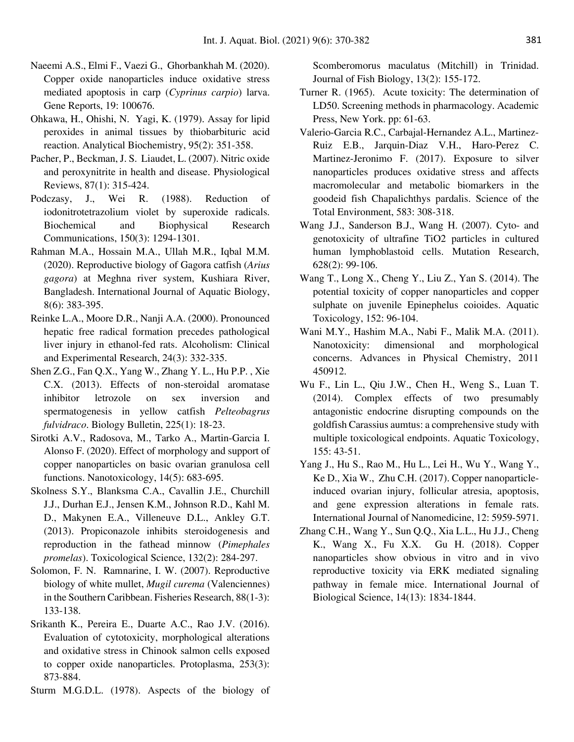- Naeemi A.S., Elmi F., Vaezi G., Ghorbankhah M. (2020). Copper oxide nanoparticles induce oxidative stress mediated apoptosis in carp (*Cyprinus carpio*) larva. Gene Reports, 19: 100676.
- Ohkawa, H., Ohishi, N. Yagi, K. (1979). Assay for lipid peroxides in animal tissues by thiobarbituric acid reaction. Analytical Biochemistry, 95(2): 351-358.
- Pacher, P., Beckman, J. S. Liaudet, L. (2007). Nitric oxide and peroxynitrite in health and disease. Physiological Reviews, 87(1): 315-424.
- Podczasy, J., Wei R. (1988). Reduction of iodonitrotetrazolium violet by superoxide radicals. Biochemical and Biophysical Research Communications, 150(3): 1294-1301.
- Rahman M.A., Hossain M.A., Ullah M.R., Iqbal M.M. (2020). Reproductive biology of Gagora catfish (*Arius gagora*) at Meghna river system, Kushiara River, Bangladesh. International Journal of Aquatic Biology, 8(6): 383-395.
- Reinke L.A., Moore D.R., Nanji A.A. (2000). Pronounced hepatic free radical formation precedes pathological liver injury in ethanol-fed rats. Alcoholism: Clinical and Experimental Research, 24(3): 332-335.
- Shen Z.G., Fan Q.X., Yang W., Zhang Y. L., Hu P.P. , Xie C.X. (2013). Effects of non-steroidal aromatase inhibitor letrozole on sex inversion and spermatogenesis in yellow catfish *Pelteobagrus fulvidraco*. Biology Bulletin, 225(1): 18-23.
- Sirotki A.V., Radosova, M., Tarko A., Martin-Garcia I. Alonso F. (2020). Effect of morphology and support of copper nanoparticles on basic ovarian granulosa cell functions. Nanotoxicology, 14(5): 683-695.
- Skolness S.Y., Blanksma C.A., Cavallin J.E., Churchill J.J., Durhan E.J., Jensen K.M., Johnson R.D., Kahl M. D., Makynen E.A., Villeneuve D.L., Ankley G.T. (2013). Propiconazole inhibits steroidogenesis and reproduction in the fathead minnow (*Pimephales promelas*). Toxicological Science, 132(2): 284-297.
- Solomon, F. N. Ramnarine, I. W. (2007). Reproductive biology of white mullet, *Mugil curema* (Valenciennes) in the Southern Caribbean. Fisheries Research, 88(1-3): 133-138.
- Srikanth K., Pereira E., Duarte A.C., Rao J.V. (2016). Evaluation of cytotoxicity, morphological alterations and oxidative stress in Chinook salmon cells exposed to copper oxide nanoparticles. Protoplasma, 253(3): 873-884.
- Sturm M.G.D.L. (1978). Aspects of the biology of

Scomberomorus maculatus (Mitchill) in Trinidad. Journal of Fish Biology, 13(2): 155-172.

- Turner R. (1965). Acute toxicity: The determination of LD50. Screening methods in pharmacology. Academic Press, New York. pp: 61-63.
- Valerio-Garcia R.C., Carbajal-Hernandez A.L., Martinez-Ruiz E.B., Jarquin-Diaz V.H., Haro-Perez C. Martinez-Jeronimo F. (2017). Exposure to silver nanoparticles produces oxidative stress and affects macromolecular and metabolic biomarkers in the goodeid fish Chapalichthys pardalis. Science of the Total Environment, 583: 308-318.
- Wang J.J., Sanderson B.J., Wang H. (2007). Cyto- and genotoxicity of ultrafine TiO2 particles in cultured human lymphoblastoid cells. Mutation Research, 628(2): 99-106.
- Wang T., Long X., Cheng Y., Liu Z., Yan S. (2014). The potential toxicity of copper nanoparticles and copper sulphate on juvenile Epinephelus coioides. Aquatic Toxicology, 152: 96-104.
- Wani M.Y., Hashim M.A., Nabi F., Malik M.A. (2011). Nanotoxicity: dimensional and morphological concerns. Advances in Physical Chemistry, 2011 450912.
- Wu F., Lin L., Qiu J.W., Chen H., Weng S., Luan T. (2014). Complex effects of two presumably antagonistic endocrine disrupting compounds on the goldfish Carassius aumtus: a comprehensive study with multiple toxicological endpoints. Aquatic Toxicology, 155: 43-51.
- Yang J., Hu S., Rao M., Hu L., Lei H., Wu Y., Wang Y., Ke D., Xia W., Zhu C.H. (2017). Copper nanoparticleinduced ovarian injury, follicular atresia, apoptosis, and gene expression alterations in female rats. International Journal of Nanomedicine, 12: 5959-5971.
- Zhang C.H., Wang Y., Sun Q.Q., Xia L.L., Hu J.J., Cheng K., Wang X., Fu X.X. Gu H. (2018). Copper nanoparticles show obvious in vitro and in vivo reproductive toxicity via ERK mediated signaling pathway in female mice. International Journal of Biological Science, 14(13): 1834-1844.